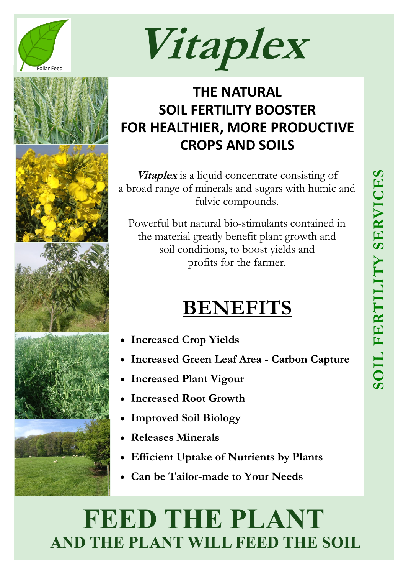

Foliar Feed **Vitaplex**

## **THE NATURAL SOIL FERTILITY BOOSTER FOR HEALTHIER, MORE PRODUCTIVE CROPS AND SOILS**

**Vitaplex** is a liquid concentrate consisting of a broad range of minerals and sugars with humic and fulvic compounds.

Powerful but natural bio-stimulants contained in the material greatly benefit plant growth and soil conditions, to boost yields and profits for the farmer.

# **BENEFITS**

- **Increased Crop Yields**
- **Increased Green Leaf Area - Carbon Capture**
- **Increased Plant Vigour**
- **Increased Root Growth**
- **Improved Soil Biology**
- **Releases Minerals**
- **Efficient Uptake of Nutrients by Plants**
- **Can be Tailor-made to Your Needs**

# **FEED THE PLANT AND THE PLANT WILL FEED THE SOIL**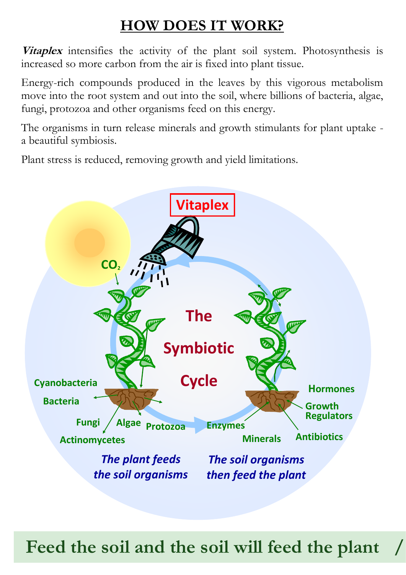### **HOW DOES IT WORK?**

**Vitaplex** intensifies the activity of the plant soil system. Photosynthesis is increased so more carbon from the air is fixed into plant tissue.

Energy-rich compounds produced in the leaves by this vigorous metabolism move into the root system and out into the soil, where billions of bacteria, algae, fungi, protozoa and other organisms feed on this energy.

The organisms in turn release minerals and growth stimulants for plant uptake a beautiful symbiosis.

Plant stress is reduced, removing growth and yield limitations.



Feed the soil and the soil will feed the plant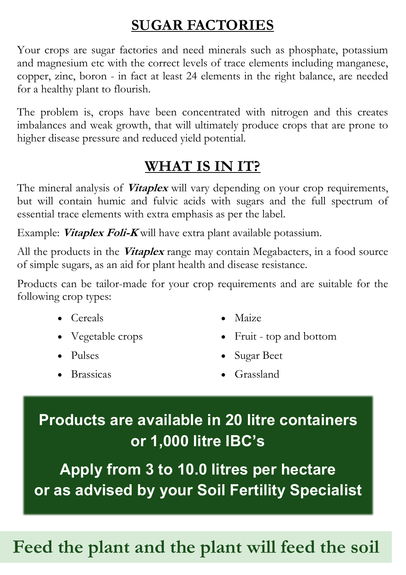## **SUGAR FACTORIES**

Your crops are sugar factories and need minerals such as phosphate, potassium and magnesium etc with the correct levels of trace elements including manganese, copper, zinc, boron - in fact at least 24 elements in the right balance, are needed for a healthy plant to flourish.

The problem is, crops have been concentrated with nitrogen and this creates imbalances and weak growth, that will ultimately produce crops that are prone to higher disease pressure and reduced yield potential.

### **WHAT IS IN IT?**

The mineral analysis of **Vitaplex** will vary depending on your crop requirements, but will contain humic and fulvic acids with sugars and the full spectrum of essential trace elements with extra emphasis as per the label.

Example: **Vitaplex Foli-K** will have extra plant available potassium.

All the products in the **Vitaplex** range may contain Megabacters, in a food source of simple sugars, as an aid for plant health and disease resistance.

Products can be tailor-made for your crop requirements and are suitable for the following crop types:

- Cereals
- Vegetable crops
- Pulses
- Brassicas
- Maize
- Fruit top and bottom
- Sugar Beet
- Grassland

## **Products are available in 20 litre containers or 1,000 litre IBC's**

**Apply from 3 to 10.0 litres per hectare or as advised by your Soil Fertility Specialist**

# Feed the plant and the plant will feed the soil